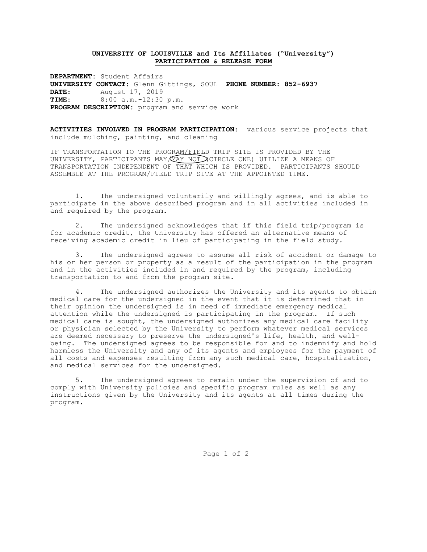## **UNIVERSITY OF LOUISVILLE and Its Affiliates ("University") PARTICIPATION & RELEASE FORM**

**DEPARTMENT:** Student Affairs **UNIVERSITY CONTACT:** Glenn Gittings, SOUL **PHONE NUMBER: 852-6937 DATE**: August 17, 2019 **TIME**: 8:00 a.m.-12:30 p.m. **PROGRAM DESCRIPTION:** program and service work

**ACTIVITIES INVOLVED IN PROGRAM PARTICIPATION**: various service projects that include mulching, painting, and cleaning

IF TRANSPORTATION TO THE PROGRAM/FIELD TRIP SITE IS PROVIDED BY THE UNIVERSITY, PARTICIPANTS MAY/MAY NOT CIRCLE ONE) UTILIZE A MEANS OF TRANSPORTATION INDEPENDENT OF THAT WHICH IS PROVIDED. PARTICIPANTS SHOULD ASSEMBLE AT THE PROGRAM/FIELD TRIP SITE AT THE APPOINTED TIME.

1. The undersigned voluntarily and willingly agrees, and is able to participate in the above described program and in all activities included in and required by the program.

2. The undersigned acknowledges that if this field trip/program is for academic credit, the University has offered an alternative means of receiving academic credit in lieu of participating in the field study.

3. The undersigned agrees to assume all risk of accident or damage to his or her person or property as a result of the participation in the program and in the activities included in and required by the program, including transportation to and from the program site.

4. The undersigned authorizes the University and its agents to obtain medical care for the undersigned in the event that it is determined that in their opinion the undersigned is in need of immediate emergency medical attention while the undersigned is participating in the program. If such medical care is sought, the undersigned authorizes any medical care facility or physician selected by the University to perform whatever medical services are deemed necessary to preserve the undersigned's life, health, and wellbeing. The undersigned agrees to be responsible for and to indemnify and hold harmless the University and any of its agents and employees for the payment of all costs and expenses resulting from any such medical care, hospitalization, and medical services for the undersigned.

5. The undersigned agrees to remain under the supervision of and to comply with University policies and specific program rules as well as any instructions given by the University and its agents at all times during the program.

Page 1 of 2